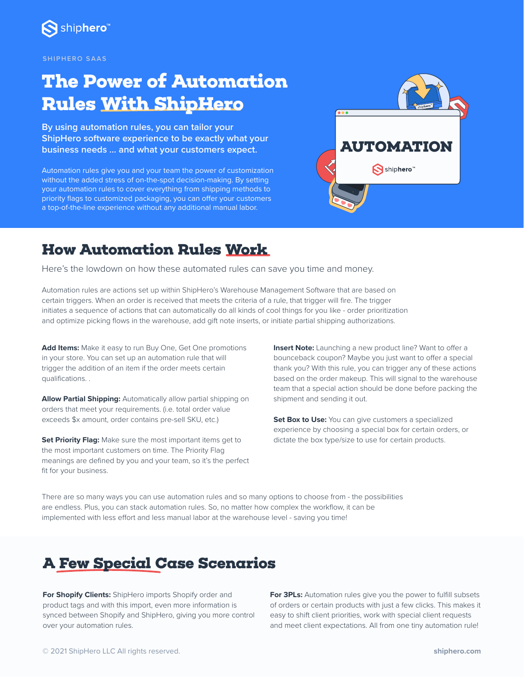

#### **SHIPHERO SAAS**

# **The Power of Automation Rules With ShipHero**

**By using automation rules, you can tailor your ShipHero software experience to be exactly what your business needs … and what your customers expect.** 

Automation rules give you and your team the power of customization without the added stress of on-the-spot decision-making. By setting your automation rules to cover everything from shipping methods to priority flags to customized packaging, you can offer your customers a top-of-the-line experience without any additional manual labor.



### **How Automation Rules Work**

Here's the lowdown on how these automated rules can save you time and money.

Automation rules are actions set up within ShipHero's Warehouse Management Software that are based on certain triggers. When an order is received that meets the criteria of a rule, that trigger will fire. The trigger initiates a sequence of actions that can automatically do all kinds of cool things for you like - order prioritization and optimize picking flows in the warehouse, add gift note inserts, or initiate partial shipping authorizations.

**Add Items:** Make it easy to run Buy One, Get One promotions in your store. You can set up an automation rule that will trigger the addition of an item if the order meets certain qualifications. .

**Allow Partial Shipping:** Automatically allow partial shipping on orders that meet your requirements. (i.e. total order value exceeds \$x amount, order contains pre-sell SKU, etc.)

**Set Priority Flag:** Make sure the most important items get to the most important customers on time. The Priority Flag meanings are defined by you and your team, so it's the perfect fit for your business.

**Insert Note:** Launching a new product line? Want to offer a bounceback coupon? Maybe you just want to offer a special thank you? With this rule, you can trigger any of these actions based on the order makeup. This will signal to the warehouse team that a special action should be done before packing the shipment and sending it out.

**Set Box to Use:** You can give customers a specialized experience by choosing a special box for certain orders, or dictate the box type/size to use for certain products.

There are so many ways you can use automation rules and so many options to choose from - the possibilities are endless. Plus, you can stack automation rules. So, no matter how complex the workflow, it can be implemented with less effort and less manual labor at the warehouse level - saving you time!

### **A Few Special Case Scenarios**

**For Shopify Clients:** ShipHero imports Shopify order and product tags and with this import, even more information is synced between Shopify and ShipHero, giving you more control over your automation rules.

**For 3PLs:** Automation rules give you the power to fulfill subsets of orders or certain products with just a few clicks. This makes it easy to shift client priorities, work with special client requests and meet client expectations. All from one tiny automation rule!